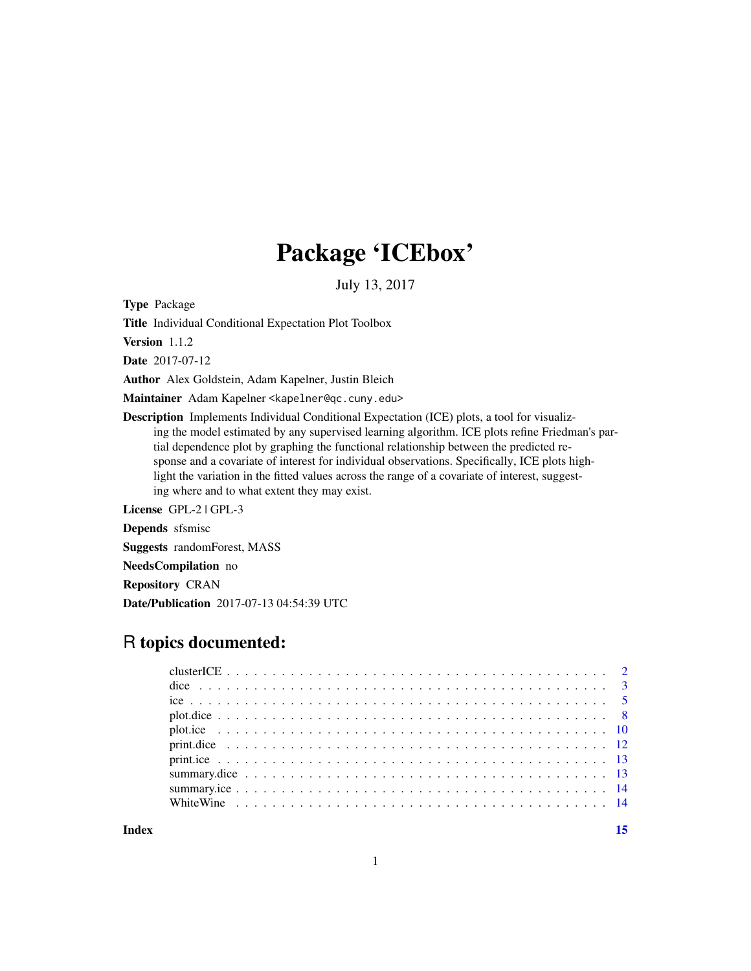## Package 'ICEbox'

July 13, 2017

Type Package

Title Individual Conditional Expectation Plot Toolbox

Version 1.1.2

Date 2017-07-12

Author Alex Goldstein, Adam Kapelner, Justin Bleich

Maintainer Adam Kapelner <kapelner@qc.cuny.edu>

Description Implements Individual Conditional Expectation (ICE) plots, a tool for visualizing the model estimated by any supervised learning algorithm. ICE plots refine Friedman's partial dependence plot by graphing the functional relationship between the predicted response and a covariate of interest for individual observations. Specifically, ICE plots highlight the variation in the fitted values across the range of a covariate of interest, suggesting where and to what extent they may exist.

License GPL-2 | GPL-3

Depends sfsmisc

Suggests randomForest, MASS

NeedsCompilation no

Repository CRAN

Date/Publication 2017-07-13 04:54:39 UTC

## R topics documented:

**Index** [15](#page-14-0)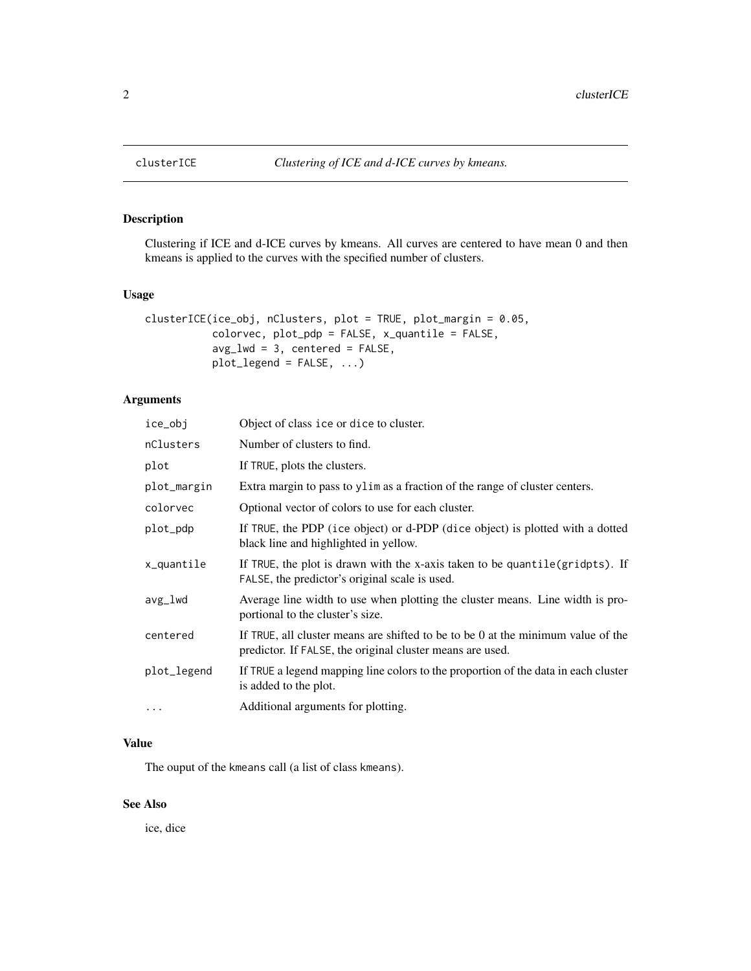<span id="page-1-0"></span>

#### Description

Clustering if ICE and d-ICE curves by kmeans. All curves are centered to have mean 0 and then kmeans is applied to the curves with the specified number of clusters.

#### Usage

```
clusterICE(ice_obj, nClusters, plot = TRUE, plot_margin = 0.05,
           colorvec, plot_pdp = FALSE, x_quantile = FALSE,
           avg_lwd = 3, centered = FALSE,
           plot_legend = FALSE, ...)
```
#### Arguments

| ice_obj     | Object of class ice or dice to cluster.                                                                                                       |
|-------------|-----------------------------------------------------------------------------------------------------------------------------------------------|
| nClusters   | Number of clusters to find.                                                                                                                   |
| plot        | If TRUE, plots the clusters.                                                                                                                  |
| plot_margin | Extra margin to pass to ylim as a fraction of the range of cluster centers.                                                                   |
| colorvec    | Optional vector of colors to use for each cluster.                                                                                            |
| plot_pdp    | If TRUE, the PDP (ice object) or d-PDP (dice object) is plotted with a dotted<br>black line and highlighted in yellow.                        |
| x_quantile  | If TRUE, the plot is drawn with the x-axis taken to be quantile(gridpts). If<br>FALSE, the predictor's original scale is used.                |
| avg_lwd     | Average line width to use when plotting the cluster means. Line width is pro-<br>portional to the cluster's size.                             |
| centered    | If TRUE, all cluster means are shifted to be to be 0 at the minimum value of the<br>predictor. If FALSE, the original cluster means are used. |
| plot_legend | If TRUE a legend mapping line colors to the proportion of the data in each cluster<br>is added to the plot.                                   |
| .           | Additional arguments for plotting.                                                                                                            |

#### Value

The ouput of the kmeans call (a list of class kmeans).

## See Also

ice, dice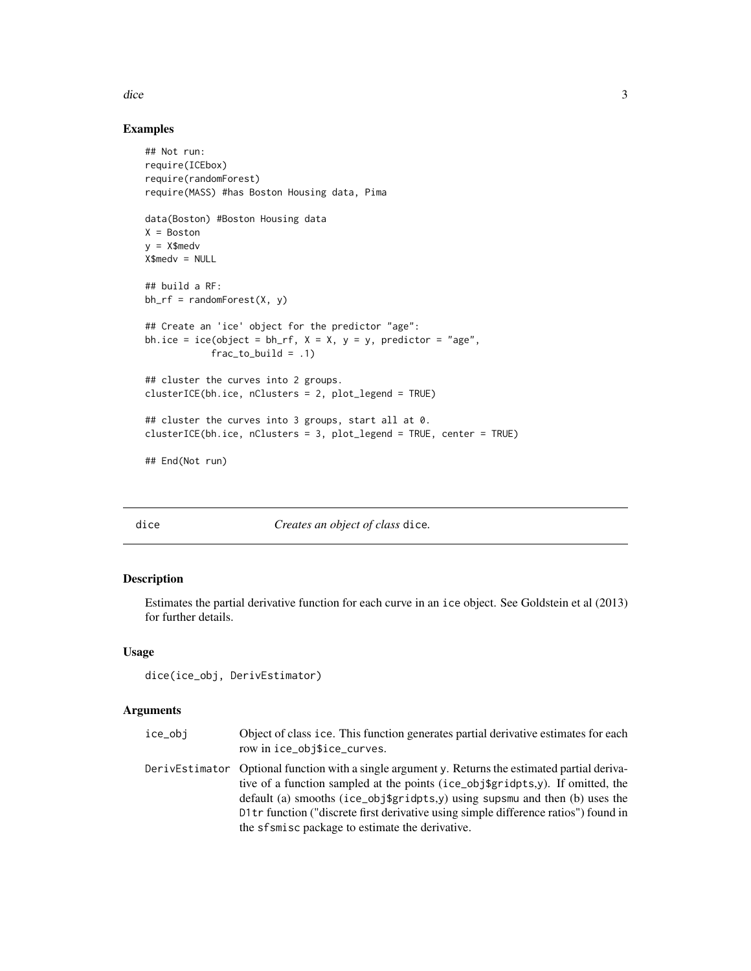<span id="page-2-0"></span>dice 3 and 3 and 3 and 3 and 3 and 3 and 3 and 3 and 3 and 3 and 3 and 3 and 3 and 3 and 3 and 3 and 3 and 3 and 3 and 3 and 3 and 3 and 3 and 3 and 3 and 3 and 3 and 3 and 3 and 3 and 3 and 3 and 3 and 3 and 3 and 3 and 3

#### Examples

```
## Not run:
require(ICEbox)
require(randomForest)
require(MASS) #has Boston Housing data, Pima
data(Boston) #Boston Housing data
X = Boston
y = X$medv
X$medv = NULL
## build a RF:
bh_r f = randomForest(X, y)## Create an 'ice' object for the predictor "age":
bh.ice = ice(object = bh_rf, X = X, y = y, predictor = "age",
            frac_to_b = .1)
## cluster the curves into 2 groups.
clusterICE(bh.ice, nClusters = 2, plot_legend = TRUE)
## cluster the curves into 3 groups, start all at 0.
clusterICE(bh.ice, nClusters = 3, plot_legend = TRUE, center = TRUE)
## End(Not run)
```
dice *Creates an object of class* dice*.*

#### Description

Estimates the partial derivative function for each curve in an ice object. See Goldstein et al (2013) for further details.

#### Usage

dice(ice\_obj, DerivEstimator)

#### Arguments

| ice_obi | Object of class ice. This function generates partial derivative estimates for each<br>row in ice_obj\$ice_curves.                                                                                                                                                                                                                                                                                                |
|---------|------------------------------------------------------------------------------------------------------------------------------------------------------------------------------------------------------------------------------------------------------------------------------------------------------------------------------------------------------------------------------------------------------------------|
|         | Derivelstimator Optional function with a single argument y. Returns the estimated partial deriva-<br>tive of a function sampled at the points (ice_obj\$gridpts, $y$ ). If omitted, the<br>default (a) smooths (ice_obj\$gridpts,y) using supsmu and then (b) uses the<br>D1tr function ("discrete first derivative using simple difference ratios") found in<br>the sfsmisc package to estimate the derivative. |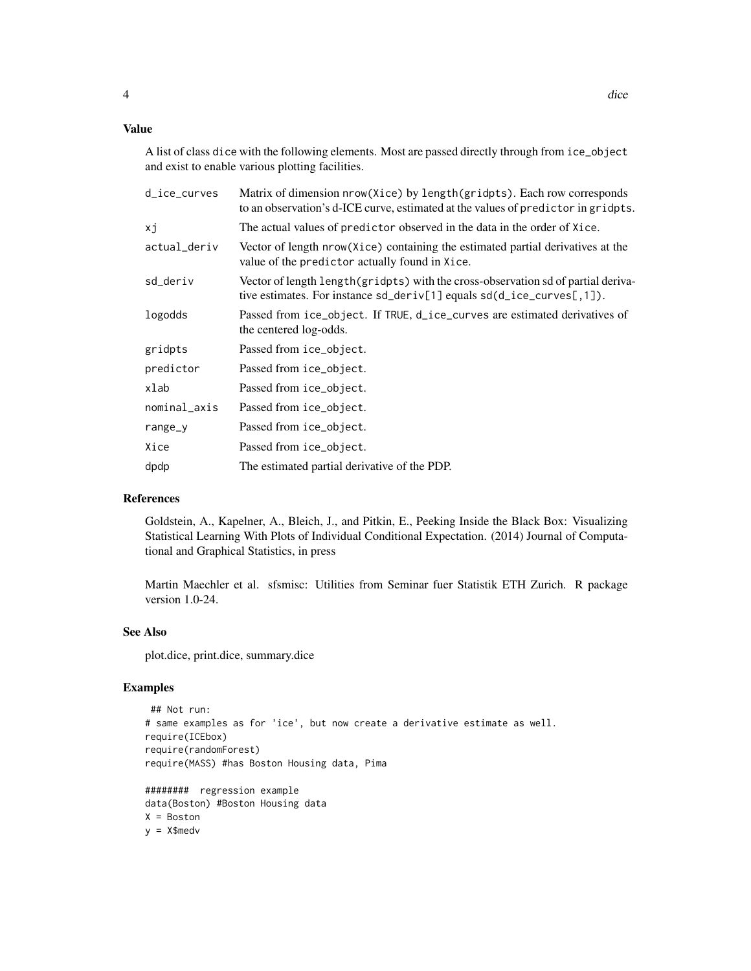#### Value

A list of class dice with the following elements. Most are passed directly through from ice\_object and exist to enable various plotting facilities.

| d_ice_curves | Matrix of dimension nrow(Xice) by length(gridpts). Each row corresponds<br>to an observation's d-ICE curve, estimated at the values of predictor in gridpts.         |
|--------------|----------------------------------------------------------------------------------------------------------------------------------------------------------------------|
| xj           | The actual values of predictor observed in the data in the order of Xice.                                                                                            |
| actual_deriv | Vector of length nrow (Xice) containing the estimated partial derivatives at the<br>value of the predictor actually found in Xice.                                   |
| sd_deriv     | Vector of length length (gridpts) with the cross-observation sd of partial deriva-<br>tive estimates. For instance $sd\_deriv[1]$ equals $sd(d\_ice\_curves[, 1])$ . |
| logodds      | Passed from ice_object. If TRUE, d_ice_curves are estimated derivatives of<br>the centered log-odds.                                                                 |
| gridpts      | Passed from ice_object.                                                                                                                                              |
| predictor    | Passed from ice_object.                                                                                                                                              |
| xlab         | Passed from ice_object.                                                                                                                                              |
| nominal_axis | Passed from ice_object.                                                                                                                                              |
| $range_y$    | Passed from ice_object.                                                                                                                                              |
| Xice         | Passed from ice_object.                                                                                                                                              |
| dpdp         | The estimated partial derivative of the PDP.                                                                                                                         |
|              |                                                                                                                                                                      |

#### References

Goldstein, A., Kapelner, A., Bleich, J., and Pitkin, E., Peeking Inside the Black Box: Visualizing Statistical Learning With Plots of Individual Conditional Expectation. (2014) Journal of Computational and Graphical Statistics, in press

Martin Maechler et al. sfsmisc: Utilities from Seminar fuer Statistik ETH Zurich. R package version 1.0-24.

#### See Also

plot.dice, print.dice, summary.dice

#### Examples

```
## Not run:
# same examples as for 'ice', but now create a derivative estimate as well.
require(ICEbox)
require(randomForest)
require(MASS) #has Boston Housing data, Pima
######## regression example
data(Boston) #Boston Housing data
X = Boston
y = X$medv
```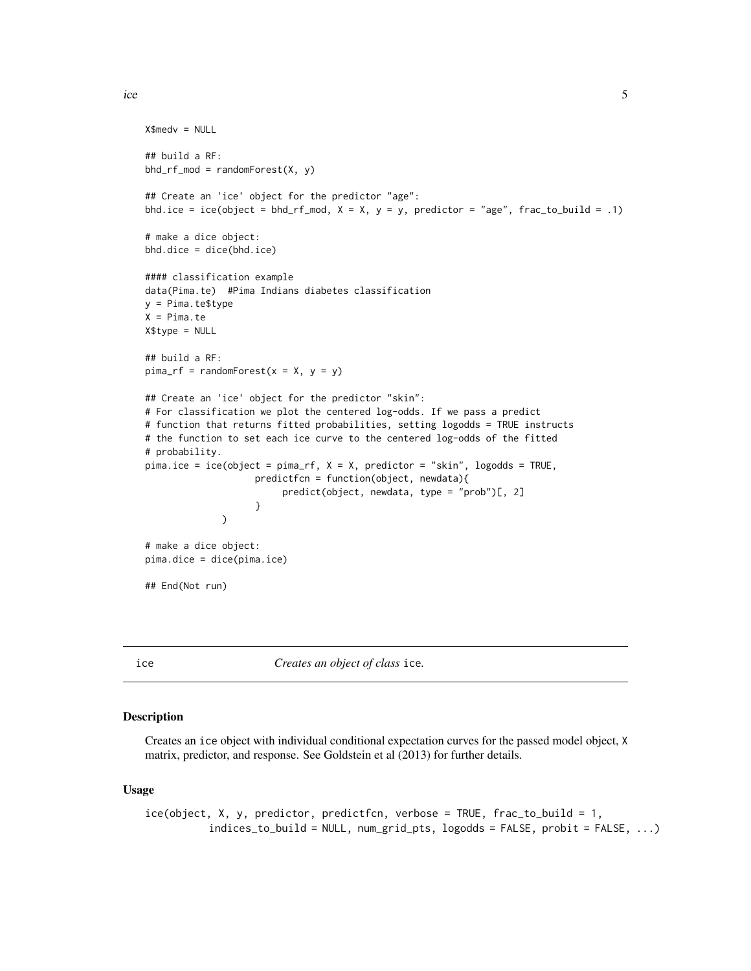```
X$medv = NULL
## build a RF:
bhd\_rf\_mod = randomForest(X, y)## Create an 'ice' object for the predictor "age":
bhd.ice = ice(object = bhd_rf_mod, X = X, y = y, predictor = "age", frac_to_build = .1)
# make a dice object:
bhd.dice = dice(bhd.ice)
#### classification example
data(Pima.te) #Pima Indians diabetes classification
y = Pima.te$type
X = Pima.teX$type = NULL
## build a RF:
pima_rf = randomForest(x = X, y = y)## Create an 'ice' object for the predictor "skin":
# For classification we plot the centered log-odds. If we pass a predict
# function that returns fitted probabilities, setting logodds = TRUE instructs
# the function to set each ice curve to the centered log-odds of the fitted
# probability.
pima.ice = ice(object = pima_rf, X = X, predictor = "skin", logodds = TRUE,
                    predictfcn = function(object, newdata){
                         predict(object, newdata, type = "prob")[, 2]
                    }
             \, \, \,# make a dice object:
pima.dice = dice(pima.ice)
## End(Not run)
```
ice *Creates an object of class* ice*.*

#### Description

Creates an ice object with individual conditional expectation curves for the passed model object, X matrix, predictor, and response. See Goldstein et al (2013) for further details.

#### Usage

```
ice(object, X, y, predictor, predictfcn, verbose = TRUE, frac_to_build = 1,
          indices_to_build = NULL, num_grid_pts, logodds = FALSE, probit = FALSE, ...)
```
<span id="page-4-0"></span>ice 5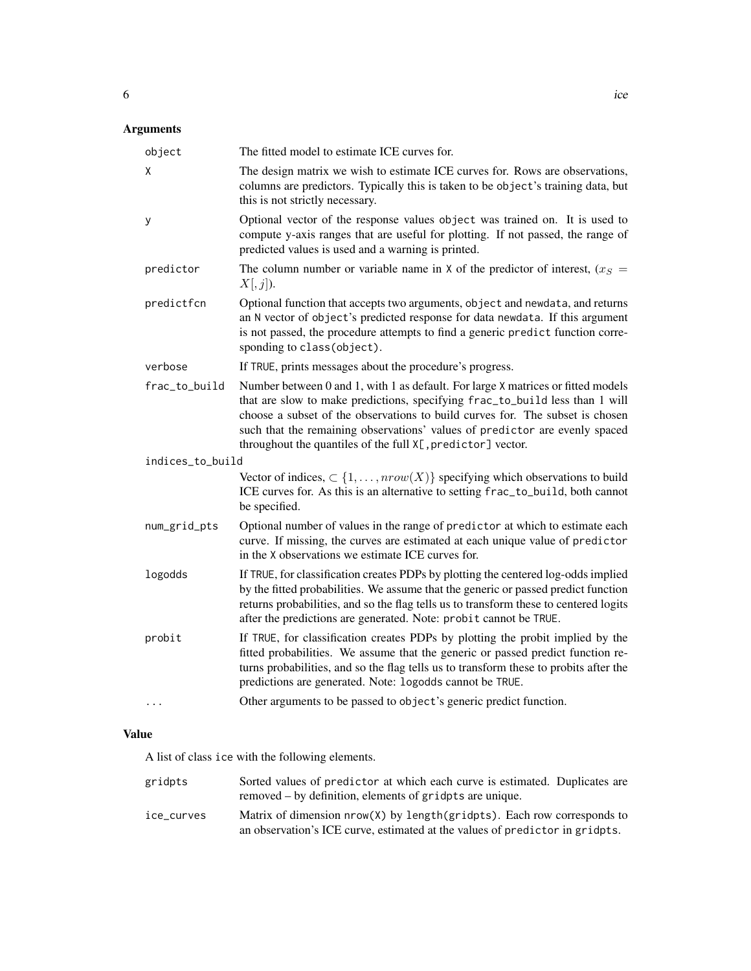## Arguments

| object           | The fitted model to estimate ICE curves for.                                                                                                                                                                                                                                                                                                                                                    |
|------------------|-------------------------------------------------------------------------------------------------------------------------------------------------------------------------------------------------------------------------------------------------------------------------------------------------------------------------------------------------------------------------------------------------|
| X                | The design matrix we wish to estimate ICE curves for. Rows are observations,<br>columns are predictors. Typically this is taken to be object's training data, but<br>this is not strictly necessary.                                                                                                                                                                                            |
| у                | Optional vector of the response values object was trained on. It is used to<br>compute y-axis ranges that are useful for plotting. If not passed, the range of<br>predicted values is used and a warning is printed.                                                                                                                                                                            |
| predictor        | The column number or variable name in X of the predictor of interest, $(x_S =$<br>X[, j]).                                                                                                                                                                                                                                                                                                      |
| predictfcn       | Optional function that accepts two arguments, object and newdata, and returns<br>an N vector of object's predicted response for data newdata. If this argument<br>is not passed, the procedure attempts to find a generic predict function corre-<br>sponding to class(object).                                                                                                                 |
| verbose          | If TRUE, prints messages about the procedure's progress.                                                                                                                                                                                                                                                                                                                                        |
| frac_to_build    | Number between 0 and 1, with 1 as default. For large X matrices or fitted models<br>that are slow to make predictions, specifying frac_to_build less than 1 will<br>choose a subset of the observations to build curves for. The subset is chosen<br>such that the remaining observations' values of predictor are evenly spaced<br>throughout the quantiles of the full X[, predictor] vector. |
| indices_to_build |                                                                                                                                                                                                                                                                                                                                                                                                 |
|                  | Vector of indices, $\subset \{1, \ldots, nrow(X)\}\$ specifying which observations to build<br>ICE curves for. As this is an alternative to setting frac_to_build, both cannot<br>be specified.                                                                                                                                                                                                 |
| num_grid_pts     | Optional number of values in the range of predictor at which to estimate each<br>curve. If missing, the curves are estimated at each unique value of predictor<br>in the X observations we estimate ICE curves for.                                                                                                                                                                             |
| logodds          | If TRUE, for classification creates PDPs by plotting the centered log-odds implied<br>by the fitted probabilities. We assume that the generic or passed predict function<br>returns probabilities, and so the flag tells us to transform these to centered logits<br>after the predictions are generated. Note: probit cannot be TRUE.                                                          |
| probit           | If TRUE, for classification creates PDPs by plotting the probit implied by the<br>fitted probabilities. We assume that the generic or passed predict function re-<br>turns probabilities, and so the flag tells us to transform these to probits after the<br>predictions are generated. Note: logodds cannot be TRUE.                                                                          |
| $\ddotsc$        | Other arguments to be passed to object's generic predict function.                                                                                                                                                                                                                                                                                                                              |

## Value

A list of class ice with the following elements.

| gridpts    | Sorted values of predictor at which each curve is estimated. Duplicates are<br>removed – by definition, elements of gridpts are unique.                   |
|------------|-----------------------------------------------------------------------------------------------------------------------------------------------------------|
| ice curves | Matrix of dimension $nrow(X)$ by length(gridpts). Each row corresponds to<br>an observation's ICE curve, estimated at the values of predictor in gridpts. |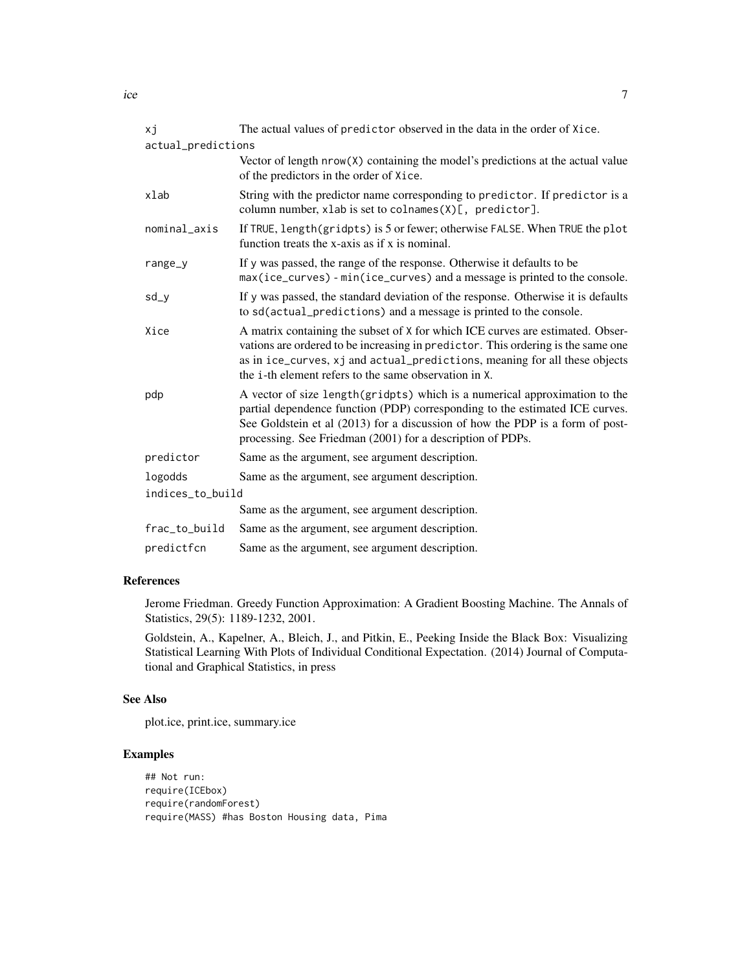| хj                 | The actual values of predictor observed in the data in the order of Xice.                                                                                                                                                                                                                                  |
|--------------------|------------------------------------------------------------------------------------------------------------------------------------------------------------------------------------------------------------------------------------------------------------------------------------------------------------|
| actual_predictions |                                                                                                                                                                                                                                                                                                            |
|                    | Vector of length nrow(X) containing the model's predictions at the actual value<br>of the predictors in the order of Xice.                                                                                                                                                                                 |
| xlab               | String with the predictor name corresponding to predictor. If predictor is a<br>column number, xlab is set to colnames(X)[, predictor].                                                                                                                                                                    |
| nominal_axis       | If TRUE, length(gridpts) is 5 or fewer; otherwise FALSE. When TRUE the plot<br>function treats the x-axis as if x is nominal.                                                                                                                                                                              |
| range_y            | If y was passed, the range of the response. Otherwise it defaults to be<br>max(ice_curves) - min(ice_curves) and a message is printed to the console.                                                                                                                                                      |
| sd_y               | If y was passed, the standard deviation of the response. Otherwise it is defaults<br>to sd(actual_predictions) and a message is printed to the console.                                                                                                                                                    |
| Xice               | A matrix containing the subset of X for which ICE curves are estimated. Obser-<br>vations are ordered to be increasing in predictor. This ordering is the same one<br>as in ice_curves, xj and actual_predictions, meaning for all these objects<br>the i-th element refers to the same observation in X.  |
| pdp                | A vector of size length (gridpts) which is a numerical approximation to the<br>partial dependence function (PDP) corresponding to the estimated ICE curves.<br>See Goldstein et al (2013) for a discussion of how the PDP is a form of post-<br>processing. See Friedman (2001) for a description of PDPs. |
| predictor          | Same as the argument, see argument description.                                                                                                                                                                                                                                                            |
| logodds            | Same as the argument, see argument description.                                                                                                                                                                                                                                                            |
| indices_to_build   |                                                                                                                                                                                                                                                                                                            |
|                    | Same as the argument, see argument description.                                                                                                                                                                                                                                                            |
| frac_to_build      | Same as the argument, see argument description.                                                                                                                                                                                                                                                            |
| predictfcn         | Same as the argument, see argument description.                                                                                                                                                                                                                                                            |

## References

Jerome Friedman. Greedy Function Approximation: A Gradient Boosting Machine. The Annals of Statistics, 29(5): 1189-1232, 2001.

Goldstein, A., Kapelner, A., Bleich, J., and Pitkin, E., Peeking Inside the Black Box: Visualizing Statistical Learning With Plots of Individual Conditional Expectation. (2014) Journal of Computational and Graphical Statistics, in press

#### See Also

plot.ice, print.ice, summary.ice

#### Examples

```
## Not run:
require(ICEbox)
require(randomForest)
require(MASS) #has Boston Housing data, Pima
```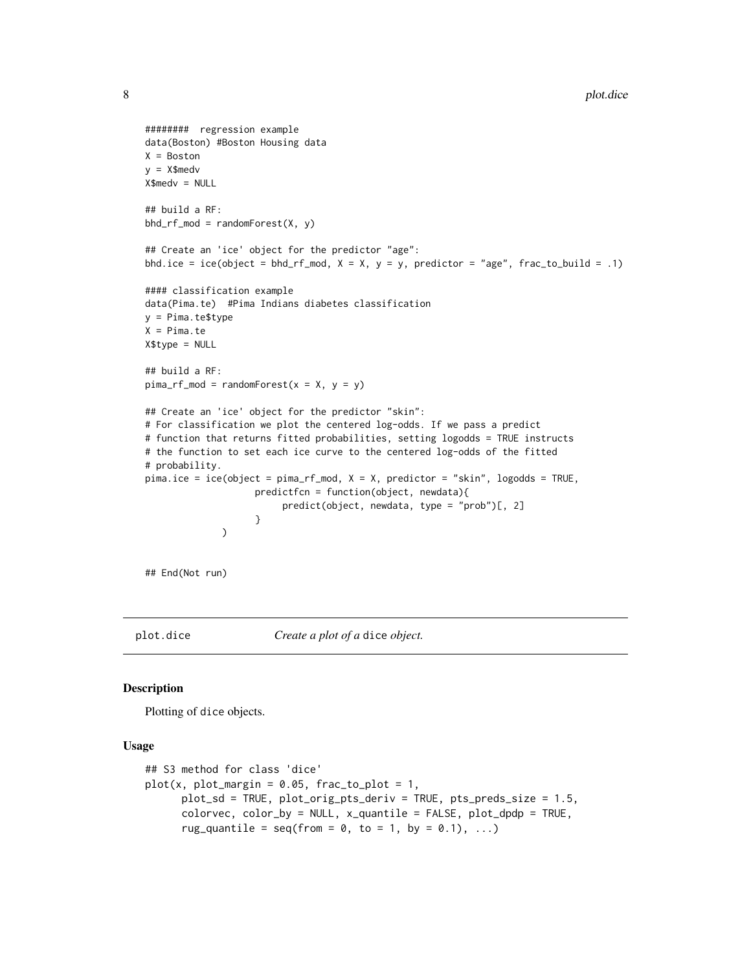```
######## regression example
data(Boston) #Boston Housing data
X = Boston
y = X$medv
X$medv = NULL
## build a RF:
bhd\_rf\_mod = randomForest(X, y)## Create an 'ice' object for the predictor "age":
bhd.ice = ice(object = bhd_rf_mod, X = X, y = y, predictor = "age", frac_to_build = .1)
#### classification example
data(Pima.te) #Pima Indians diabetes classification
y = Pima.te$type
X = Pima.teX$type = NULL
## build a RF:
pima_rf_model = randomForest(x = X, y = y)## Create an 'ice' object for the predictor "skin":
# For classification we plot the centered log-odds. If we pass a predict
# function that returns fitted probabilities, setting logodds = TRUE instructs
# the function to set each ice curve to the centered log-odds of the fitted
# probability.
pima.ice = ice(object = pima_rf_mod, X = X, predictor = "skin", logodds = TRUE,
                    predictfcn = function(object, newdata){
                         predict(object, newdata, type = "prob")[, 2]
                    }
              )
```
## End(Not run)

plot.dice *Create a plot of a* dice *object.*

#### Description

Plotting of dice objects.

#### Usage

```
## S3 method for class 'dice'
plot(x, plot_margin = 0.05, frac_to_plot = 1,plot_sd = TRUE, plot_orig_pts_deriv = TRUE, pts_preds_size = 1.5,
     colorvec, color_by = NULL, x_quantile = FALSE, plot_dpdp = TRUE,
     rug_quantile = seq(from = 0, to = 1, by = 0.1), ...
```
<span id="page-7-0"></span>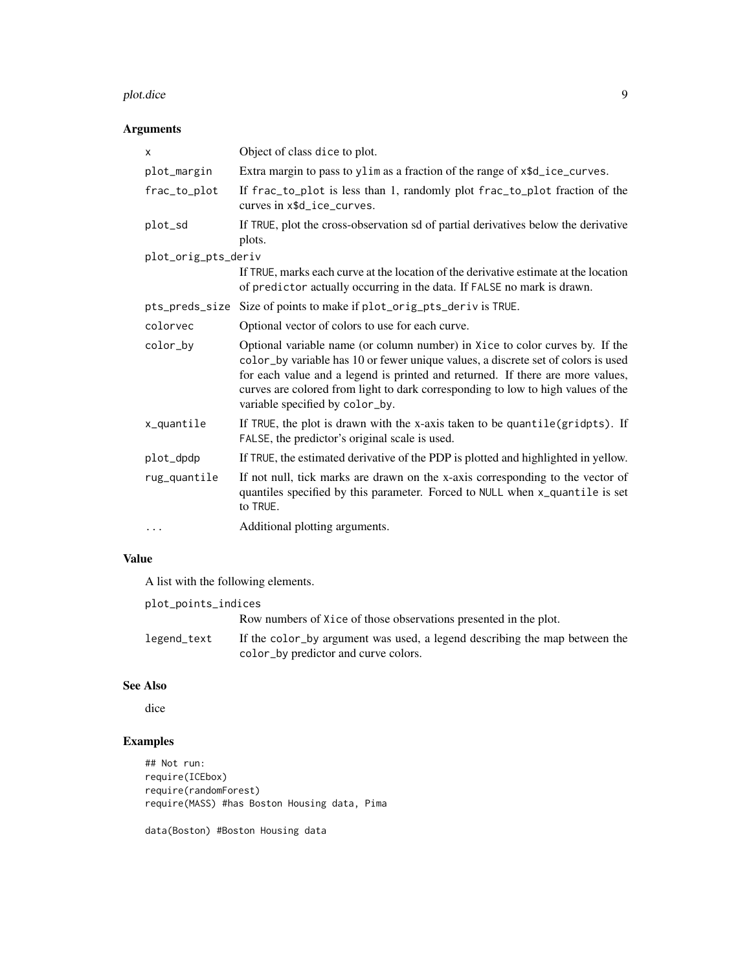#### plot.dice 9

## Arguments

| X                   | Object of class dice to plot.                                                                                                                                                                                                                                                                                                                                              |  |  |  |  |  |
|---------------------|----------------------------------------------------------------------------------------------------------------------------------------------------------------------------------------------------------------------------------------------------------------------------------------------------------------------------------------------------------------------------|--|--|--|--|--|
| plot_margin         | Extra margin to pass to ylim as a fraction of the range of $x$ \$d_ice_curves.                                                                                                                                                                                                                                                                                             |  |  |  |  |  |
| frac_to_plot        | If frac_to_plot is less than 1, randomly plot frac_to_plot fraction of the<br>curves in x\$d_ice_curves.                                                                                                                                                                                                                                                                   |  |  |  |  |  |
| plot_sd             | If TRUE, plot the cross-observation sd of partial derivatives below the derivative<br>plots.                                                                                                                                                                                                                                                                               |  |  |  |  |  |
| plot_orig_pts_deriv |                                                                                                                                                                                                                                                                                                                                                                            |  |  |  |  |  |
|                     | If TRUE, marks each curve at the location of the derivative estimate at the location<br>of predictor actually occurring in the data. If FALSE no mark is drawn.                                                                                                                                                                                                            |  |  |  |  |  |
| pts_preds_size      | Size of points to make if plot_orig_pts_deriv is TRUE.                                                                                                                                                                                                                                                                                                                     |  |  |  |  |  |
| colorvec            | Optional vector of colors to use for each curve.                                                                                                                                                                                                                                                                                                                           |  |  |  |  |  |
| color_by            | Optional variable name (or column number) in Xice to color curves by. If the<br>color_by variable has 10 or fewer unique values, a discrete set of colors is used<br>for each value and a legend is printed and returned. If there are more values,<br>curves are colored from light to dark corresponding to low to high values of the<br>variable specified by color_by. |  |  |  |  |  |
| x_quantile          | If TRUE, the plot is drawn with the x-axis taken to be quantile(gridpts). If<br>FALSE, the predictor's original scale is used.                                                                                                                                                                                                                                             |  |  |  |  |  |
| plot_dpdp           | If TRUE, the estimated derivative of the PDP is plotted and highlighted in yellow.                                                                                                                                                                                                                                                                                         |  |  |  |  |  |
| rug_quantile        | If not null, tick marks are drawn on the x-axis corresponding to the vector of<br>quantiles specified by this parameter. Forced to NULL when x_quantile is set<br>to TRUE.                                                                                                                                                                                                 |  |  |  |  |  |
| $\cdots$            | Additional plotting arguments.                                                                                                                                                                                                                                                                                                                                             |  |  |  |  |  |

#### Value

A list with the following elements.

| plot_points_indices |                                                                            |
|---------------------|----------------------------------------------------------------------------|
|                     | Row numbers of Xice of those observations presented in the plot.           |
| legend_text         | If the color by argument was used, a legend describing the map between the |
|                     | color_by predictor and curve colors.                                       |

## See Also

dice

## Examples

```
## Not run:
require(ICEbox)
require(randomForest)
require(MASS) #has Boston Housing data, Pima
```
data(Boston) #Boston Housing data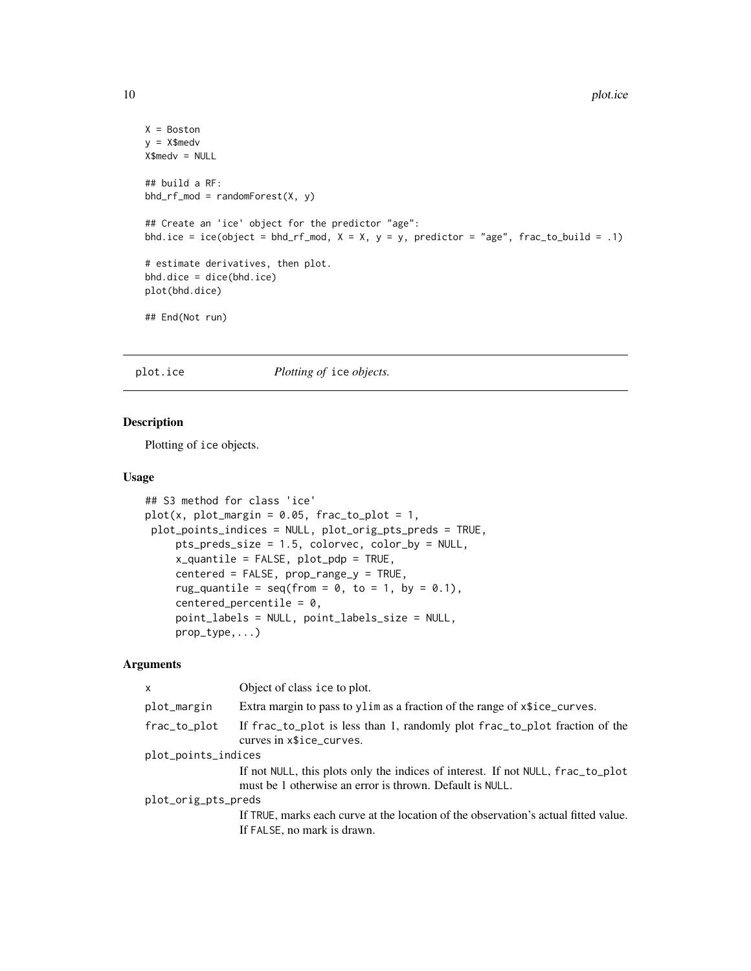```
X = Boston
y = X$medv
X$medv = NULL
## build a RF:
bhd_rf_mod = randomForest(X, y)
## Create an 'ice' object for the predictor "age":
bhd.ice = ice(object = bhd_rf_mod, X = X, y = y, predictor = "age", frac_to_build = .1)
# estimate derivatives, then plot.
bhd.dice = dice(bhd.ice)
plot(bhd.dice)
## End(Not run)
```
#### plot.ice *Plotting of* ice *objects.*

#### Description

Plotting of ice objects.

#### Usage

```
## S3 method for class 'ice'
plot(x, plot_margin = 0.05, frac_to_plot = 1,plot_points_indices = NULL, plot_orig_pts_preds = TRUE,
     pts_preds_size = 1.5, colorvec, color_by = NULL,
     x_quantile = FALSE, plot_pdp = TRUE,
     centered = FALSE, prop_range_y = TRUE,
     rug_quantile = seq(from = 0, to = 1, by = 0.1),
     centered_percentile = 0,
     point_labels = NULL, point_labels_size = NULL,
     prop_type,...)
```
#### Arguments

| x                   | Object of class ice to plot.                                                                                                                |
|---------------------|---------------------------------------------------------------------------------------------------------------------------------------------|
| plot_margin         | Extra margin to pass to ylim as a fraction of the range of $x$ sice_curves.                                                                 |
| frac_to_plot        | If frac_to_plot is less than 1, randomly plot frac_to_plot fraction of the<br>curves in $x$ice_curves.$                                     |
| plot_points_indices |                                                                                                                                             |
|                     | If not NULL, this plots only the indices of interest. If not NULL, frac_to_plot<br>must be 1 otherwise an error is thrown. Default is NULL. |
| plot_orig_pts_preds |                                                                                                                                             |
|                     | If TRUE, marks each curve at the location of the observation's actual fitted value.                                                         |
|                     | If FALSE, no mark is drawn.                                                                                                                 |

<span id="page-9-0"></span>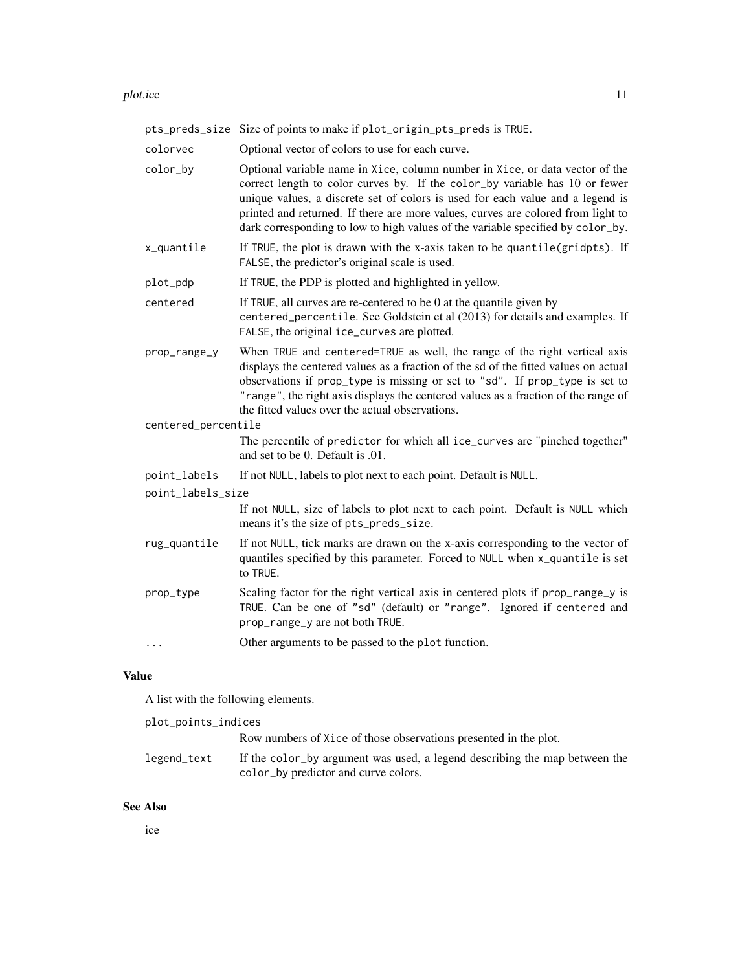#### plot.ice the state of the state of the state of the state of the state of the state of the state of the state of the state of the state of the state of the state of the state of the state of the state of the state of the s

pts\_preds\_size Size of points to make if plot\_origin\_pts\_preds is TRUE. colorvec Optional vector of colors to use for each curve. color\_by Optional variable name in Xice, column number in Xice, or data vector of the correct length to color curves by. If the color\_by variable has 10 or fewer unique values, a discrete set of colors is used for each value and a legend is printed and returned. If there are more values, curves are colored from light to dark corresponding to low to high values of the variable specified by color\_by.  $x$  quantile If TRUE, the plot is drawn with the x-axis taken to be quantile(gridpts). If FALSE, the predictor's original scale is used. plot\_pdp If TRUE, the PDP is plotted and highlighted in yellow. centered If TRUE, all curves are re-centered to be 0 at the quantile given by centered\_percentile. See Goldstein et al (2013) for details and examples. If FALSE, the original ice\_curves are plotted. prop\_range\_y When TRUE and centered=TRUE as well, the range of the right vertical axis displays the centered values as a fraction of the sd of the fitted values on actual observations if prop\_type is missing or set to "sd". If prop\_type is set to "range", the right axis displays the centered values as a fraction of the range of the fitted values over the actual observations. centered\_percentile The percentile of predictor for which all ice\_curves are "pinched together" and set to be 0. Default is .01. point\_labels If not NULL, labels to plot next to each point. Default is NULL. point\_labels\_size If not NULL, size of labels to plot next to each point. Default is NULL which means it's the size of pts\_preds\_size. rug\_quantile If not NULL, tick marks are drawn on the x-axis corresponding to the vector of quantiles specified by this parameter. Forced to NULL when x\_quantile is set to TRUE. prop\_type Scaling factor for the right vertical axis in centered plots if prop\_range\_y is TRUE. Can be one of "sd" (default) or "range". Ignored if centered and prop\_range\_y are not both TRUE. ... Other arguments to be passed to the plot function.

#### Value

A list with the following elements.

| plot_points_indices |                                                                            |
|---------------------|----------------------------------------------------------------------------|
|                     | Row numbers of Xice of those observations presented in the plot.           |
| legend_text         | If the color_by argument was used, a legend describing the map between the |
|                     | color_by predictor and curve colors.                                       |

#### See Also

ice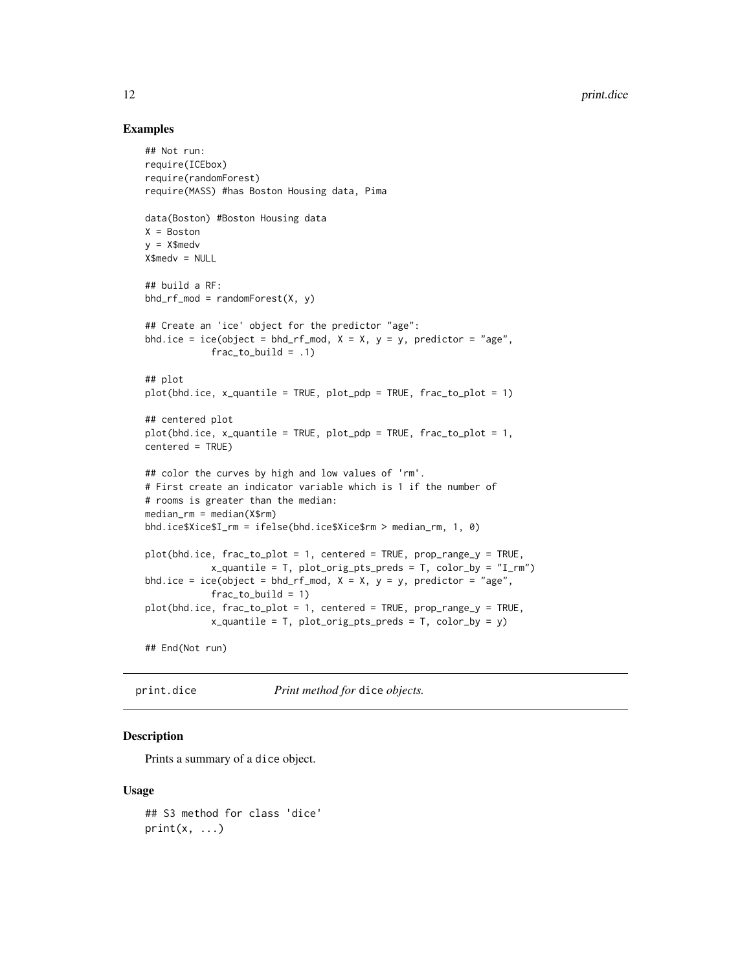#### Examples

```
## Not run:
require(ICEbox)
require(randomForest)
require(MASS) #has Boston Housing data, Pima
data(Boston) #Boston Housing data
X = Boston
y = X$medv
X$medv = NULL
## build a RF:
bhd\_rf\_mod = randomForest(X, y)## Create an 'ice' object for the predictor "age":
bhd.ice = ice(object = bhd_rf_mod, X = X, y = y, predictor = "age",
            frac_to_butild = .1)## plot
plot(bhd.ice, x_quantile = TRUE, plot_pdp = TRUE, frac_to_plot = 1)## centered plot
plot(bhd.ice, x_quantile = TRUE, plot_pdp = TRUE, frac_to_plot = 1,centered = TRUE)
## color the curves by high and low values of 'rm'.
# First create an indicator variable which is 1 if the number of
# rooms is greater than the median:
median_rm = median(X$rm)
bhd.ice$Xice$I_rm = ifelse(bhd.ice$Xice$rm > median_rm, 1, 0)
plot(bhd.ice, frac_to_plot = 1, centered = TRUE, prop_range_y = TRUE,
            x_quantile = T, plot_orig_pts_preds = T, color_by = "I_rm")
bhd.ice = ice(object = bhd_rf_mod, X = X, y = y, predictor = "age",
            frac_to_buid = 1)plot(bhd.ice, frac_to_plot = 1, centered = TRUE, prop_range_y = TRUE,
            x_quantile = T, plot_orig_pts_preds = T, color_by = y)
## End(Not run)
```
print.dice *Print method for* dice *objects.*

#### **Description**

Prints a summary of a dice object.

#### Usage

```
## S3 method for class 'dice'
print(x, \ldots)
```
<span id="page-11-0"></span>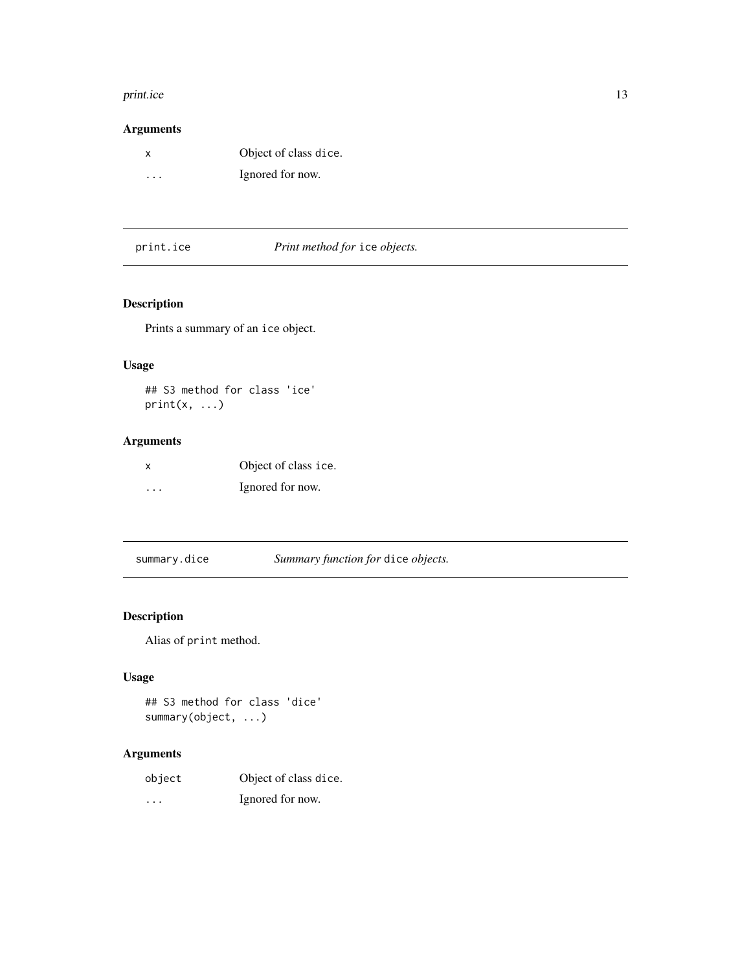#### <span id="page-12-0"></span>print.ice 13

#### Arguments

| X        | Object of class dice. |
|----------|-----------------------|
| $\cdots$ | Ignored for now.      |

print.ice *Print method for* ice *objects.*

## Description

Prints a summary of an ice object.

#### Usage

## S3 method for class 'ice'  $print(x, \ldots)$ 

## Arguments

| x        | Object of class ice. |
|----------|----------------------|
| $\cdots$ | Ignored for now.     |

summary.dice *Summary function for* dice *objects.*

## Description

Alias of print method.

#### Usage

```
## S3 method for class 'dice'
summary(object, ...)
```
## Arguments

| object               | Object of class dice. |
|----------------------|-----------------------|
| $\ddot{\phantom{0}}$ | Ignored for now.      |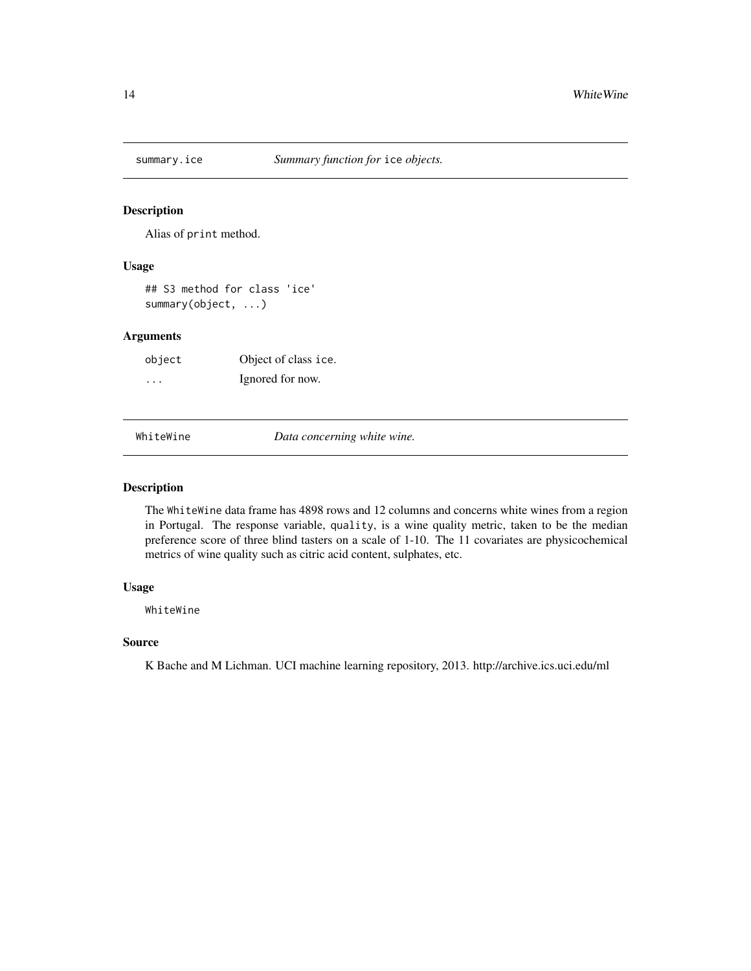<span id="page-13-0"></span>

#### Description

Alias of print method.

#### Usage

## S3 method for class 'ice' summary(object, ...)

#### Arguments

object Object of class ice. ... Ignored for now.

WhiteWine *Data concerning white wine.*

#### Description

The WhiteWine data frame has 4898 rows and 12 columns and concerns white wines from a region in Portugal. The response variable, quality, is a wine quality metric, taken to be the median preference score of three blind tasters on a scale of 1-10. The 11 covariates are physicochemical metrics of wine quality such as citric acid content, sulphates, etc.

#### Usage

WhiteWine

#### Source

K Bache and M Lichman. UCI machine learning repository, 2013. http://archive.ics.uci.edu/ml